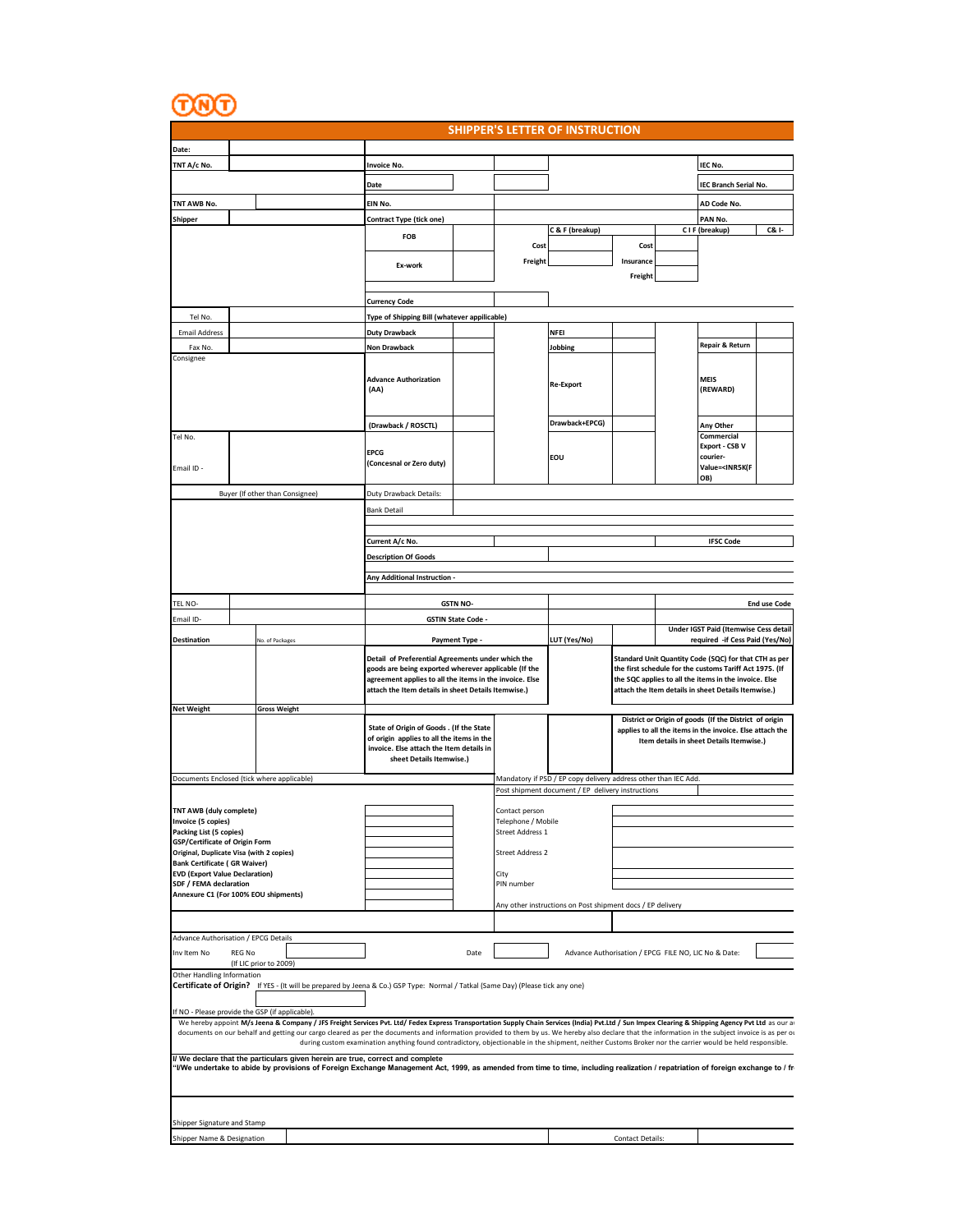$\underline{\odot\odot}$ 

| <b>SHIPPER'S LETTER OF INSTRUCTION</b> |  |
|----------------------------------------|--|
|                                        |  |

| Date:                                                                           |        |                                                                                                                                                                                                                                                                                                                                                                                                         |                                                                                                                                                                                                                             |                         |                                                                 |                                                                                                                      |                         |  |                                                                                                                                                                                                                                  |                     |  |  |
|---------------------------------------------------------------------------------|--------|---------------------------------------------------------------------------------------------------------------------------------------------------------------------------------------------------------------------------------------------------------------------------------------------------------------------------------------------------------------------------------------------------------|-----------------------------------------------------------------------------------------------------------------------------------------------------------------------------------------------------------------------------|-------------------------|-----------------------------------------------------------------|----------------------------------------------------------------------------------------------------------------------|-------------------------|--|----------------------------------------------------------------------------------------------------------------------------------------------------------------------------------------------------------------------------------|---------------------|--|--|
| TNT A/c No.                                                                     |        |                                                                                                                                                                                                                                                                                                                                                                                                         | <b>Invoice No.</b>                                                                                                                                                                                                          |                         |                                                                 |                                                                                                                      |                         |  | IEC No.                                                                                                                                                                                                                          |                     |  |  |
|                                                                                 |        |                                                                                                                                                                                                                                                                                                                                                                                                         | Date                                                                                                                                                                                                                        |                         |                                                                 |                                                                                                                      |                         |  |                                                                                                                                                                                                                                  |                     |  |  |
|                                                                                 |        |                                                                                                                                                                                                                                                                                                                                                                                                         |                                                                                                                                                                                                                             |                         |                                                                 |                                                                                                                      | IEC Branch Serial No.   |  |                                                                                                                                                                                                                                  |                     |  |  |
| TNT AWB No.                                                                     |        |                                                                                                                                                                                                                                                                                                                                                                                                         | EIN No.                                                                                                                                                                                                                     |                         |                                                                 |                                                                                                                      |                         |  | AD Code No.                                                                                                                                                                                                                      |                     |  |  |
| <b>Shipper</b>                                                                  |        |                                                                                                                                                                                                                                                                                                                                                                                                         | Contract Type (tick one)                                                                                                                                                                                                    |                         |                                                                 | C & F (breakup)                                                                                                      |                         |  | PAN No.<br>C I F (breakup)                                                                                                                                                                                                       | C& I-               |  |  |
|                                                                                 |        |                                                                                                                                                                                                                                                                                                                                                                                                         | FOB                                                                                                                                                                                                                         |                         | Cost                                                            |                                                                                                                      | Cost                    |  |                                                                                                                                                                                                                                  |                     |  |  |
|                                                                                 |        | Ex-work                                                                                                                                                                                                                                                                                                                                                                                                 |                                                                                                                                                                                                                             | Freight                 |                                                                 | Insurance<br>Freight                                                                                                 |                         |  |                                                                                                                                                                                                                                  |                     |  |  |
|                                                                                 |        |                                                                                                                                                                                                                                                                                                                                                                                                         | <b>Currency Code</b>                                                                                                                                                                                                        |                         |                                                                 |                                                                                                                      |                         |  |                                                                                                                                                                                                                                  |                     |  |  |
| Tel No.                                                                         |        |                                                                                                                                                                                                                                                                                                                                                                                                         | Type of Shipping Bill (whatever appilicable)                                                                                                                                                                                |                         |                                                                 |                                                                                                                      |                         |  |                                                                                                                                                                                                                                  |                     |  |  |
|                                                                                 |        |                                                                                                                                                                                                                                                                                                                                                                                                         |                                                                                                                                                                                                                             |                         |                                                                 | <b>NFEI</b>                                                                                                          |                         |  |                                                                                                                                                                                                                                  |                     |  |  |
| <b>Email Address</b><br>Fax No.                                                 |        |                                                                                                                                                                                                                                                                                                                                                                                                         | <b>Duty Drawback</b>                                                                                                                                                                                                        |                         |                                                                 |                                                                                                                      |                         |  | Repair & Return                                                                                                                                                                                                                  |                     |  |  |
| Consignee                                                                       |        |                                                                                                                                                                                                                                                                                                                                                                                                         | Non Drawback                                                                                                                                                                                                                |                         |                                                                 | Jobbing                                                                                                              |                         |  |                                                                                                                                                                                                                                  |                     |  |  |
|                                                                                 |        |                                                                                                                                                                                                                                                                                                                                                                                                         | <b>Advance Authorization</b><br>(AA)                                                                                                                                                                                        |                         |                                                                 | <b>Re-Export</b>                                                                                                     |                         |  | MEIS<br>(REWARD)                                                                                                                                                                                                                 |                     |  |  |
|                                                                                 |        |                                                                                                                                                                                                                                                                                                                                                                                                         | (Drawback / ROSCTL)                                                                                                                                                                                                         |                         |                                                                 | Drawback+EPCG)                                                                                                       |                         |  | Any Other                                                                                                                                                                                                                        |                     |  |  |
| Tel No.<br>Email ID -                                                           |        |                                                                                                                                                                                                                                                                                                                                                                                                         | <b>EPCG</b><br>(Concesnal or Zero duty)                                                                                                                                                                                     |                         |                                                                 | EOU                                                                                                                  |                         |  | Commercial<br>Export - CSB V<br>courier-<br>Value= <inr5k(f<br>OB)</inr5k(f<br>                                                                                                                                                  |                     |  |  |
|                                                                                 |        | Buyer (If other than Consignee)                                                                                                                                                                                                                                                                                                                                                                         | Duty Drawback Details:                                                                                                                                                                                                      |                         |                                                                 |                                                                                                                      |                         |  |                                                                                                                                                                                                                                  |                     |  |  |
|                                                                                 |        |                                                                                                                                                                                                                                                                                                                                                                                                         | <b>Bank Detail</b>                                                                                                                                                                                                          |                         |                                                                 |                                                                                                                      |                         |  |                                                                                                                                                                                                                                  |                     |  |  |
|                                                                                 |        |                                                                                                                                                                                                                                                                                                                                                                                                         |                                                                                                                                                                                                                             |                         |                                                                 |                                                                                                                      |                         |  |                                                                                                                                                                                                                                  |                     |  |  |
|                                                                                 |        |                                                                                                                                                                                                                                                                                                                                                                                                         | Current A/c No.                                                                                                                                                                                                             |                         |                                                                 |                                                                                                                      |                         |  | <b>IFSC Code</b>                                                                                                                                                                                                                 |                     |  |  |
|                                                                                 |        |                                                                                                                                                                                                                                                                                                                                                                                                         | <b>Description Of Goods</b>                                                                                                                                                                                                 |                         |                                                                 |                                                                                                                      |                         |  |                                                                                                                                                                                                                                  |                     |  |  |
|                                                                                 |        |                                                                                                                                                                                                                                                                                                                                                                                                         | Any Additional Instruction -                                                                                                                                                                                                |                         |                                                                 |                                                                                                                      |                         |  |                                                                                                                                                                                                                                  |                     |  |  |
|                                                                                 |        |                                                                                                                                                                                                                                                                                                                                                                                                         |                                                                                                                                                                                                                             |                         |                                                                 |                                                                                                                      |                         |  |                                                                                                                                                                                                                                  |                     |  |  |
| TEL NO-                                                                         |        |                                                                                                                                                                                                                                                                                                                                                                                                         |                                                                                                                                                                                                                             | <b>GSTN NO-</b>         |                                                                 |                                                                                                                      |                         |  |                                                                                                                                                                                                                                  | <b>End use Code</b> |  |  |
| Email ID-                                                                       |        |                                                                                                                                                                                                                                                                                                                                                                                                         |                                                                                                                                                                                                                             | <b>GSTIN State Code</b> |                                                                 |                                                                                                                      |                         |  |                                                                                                                                                                                                                                  |                     |  |  |
| <b>Destination</b>                                                              |        | No. of Packages                                                                                                                                                                                                                                                                                                                                                                                         |                                                                                                                                                                                                                             | Payment Type -          |                                                                 | LUT (Yes/No)                                                                                                         |                         |  | Under IGST Paid (Itemwise Cess detail<br>required -if Cess Paid (Yes/No)                                                                                                                                                         |                     |  |  |
|                                                                                 |        |                                                                                                                                                                                                                                                                                                                                                                                                         | Detail of Preferential Agreements under which the<br>goods are being exported wherever applicable (If the<br>agreement applies to all the items in the invoice. Else<br>attach the Item details in sheet Details Itemwise.) |                         |                                                                 |                                                                                                                      |                         |  | Standard Unit Quantity Code (SQC) for that CTH as per<br>the first schedule for the customs Tariff Act 1975. (If<br>the SQC applies to all the items in the invoice. Else<br>attach the Item details in sheet Details Itemwise.) |                     |  |  |
| <b>Net Weight</b>                                                               |        | <b>Gross Weight</b>                                                                                                                                                                                                                                                                                                                                                                                     |                                                                                                                                                                                                                             |                         |                                                                 |                                                                                                                      |                         |  |                                                                                                                                                                                                                                  |                     |  |  |
|                                                                                 |        |                                                                                                                                                                                                                                                                                                                                                                                                         | State of Origin of Goods . (If the State<br>of origin applies to all the items in the<br>invoice. Else attach the Item details in<br>sheet Details Itemwise.)                                                               |                         |                                                                 |                                                                                                                      |                         |  | District or Origin of goods (If the District of origin<br>applies to all the items in the invoice. Else attach the<br>Item details in sheet Details Itemwise.)                                                                   |                     |  |  |
|                                                                                 |        | Documents Enclosed (tick where applicable)                                                                                                                                                                                                                                                                                                                                                              |                                                                                                                                                                                                                             |                         |                                                                 | Mandatory if PSD / EP copy delivery address other than IEC Add.<br>Post shipment document / EP delivery instructions |                         |  |                                                                                                                                                                                                                                  |                     |  |  |
| TNT AWB (duly complete)<br>Invoice (5 copies)<br>Packing List (5 copies)        |        |                                                                                                                                                                                                                                                                                                                                                                                                         |                                                                                                                                                                                                                             |                         | Contact person<br>Telephone / Mobile<br><b>Street Address 1</b> |                                                                                                                      |                         |  |                                                                                                                                                                                                                                  |                     |  |  |
| GSP/Certificate of Origin Form                                                  |        |                                                                                                                                                                                                                                                                                                                                                                                                         |                                                                                                                                                                                                                             |                         |                                                                 |                                                                                                                      |                         |  |                                                                                                                                                                                                                                  |                     |  |  |
| Original, Duplicate Visa (with 2 copies)<br><b>Bank Certificate (GR Waiver)</b> |        |                                                                                                                                                                                                                                                                                                                                                                                                         |                                                                                                                                                                                                                             |                         | <b>Street Address 2</b>                                         |                                                                                                                      |                         |  |                                                                                                                                                                                                                                  |                     |  |  |
| <b>EVD (Export Value Declaration)</b>                                           |        |                                                                                                                                                                                                                                                                                                                                                                                                         |                                                                                                                                                                                                                             |                         | City                                                            |                                                                                                                      |                         |  |                                                                                                                                                                                                                                  |                     |  |  |
| SDF / FEMA declaration                                                          |        |                                                                                                                                                                                                                                                                                                                                                                                                         |                                                                                                                                                                                                                             |                         | PIN number                                                      |                                                                                                                      |                         |  |                                                                                                                                                                                                                                  |                     |  |  |
| Annexure C1 (For 100% EOU shipments)                                            |        |                                                                                                                                                                                                                                                                                                                                                                                                         |                                                                                                                                                                                                                             |                         |                                                                 | Any other instructions on Post shipment docs / EP delivery                                                           |                         |  |                                                                                                                                                                                                                                  |                     |  |  |
|                                                                                 |        |                                                                                                                                                                                                                                                                                                                                                                                                         |                                                                                                                                                                                                                             |                         |                                                                 |                                                                                                                      |                         |  |                                                                                                                                                                                                                                  |                     |  |  |
|                                                                                 |        |                                                                                                                                                                                                                                                                                                                                                                                                         |                                                                                                                                                                                                                             |                         |                                                                 |                                                                                                                      |                         |  |                                                                                                                                                                                                                                  |                     |  |  |
| Advance Authorisation / EPCG Details                                            |        |                                                                                                                                                                                                                                                                                                                                                                                                         |                                                                                                                                                                                                                             |                         |                                                                 |                                                                                                                      |                         |  |                                                                                                                                                                                                                                  |                     |  |  |
| Inv Item No                                                                     | REG No | (If LIC prior to 2009)                                                                                                                                                                                                                                                                                                                                                                                  |                                                                                                                                                                                                                             | Date                    |                                                                 | Advance Authorisation / EPCG FILE NO, LIC No & Date:                                                                 |                         |  |                                                                                                                                                                                                                                  |                     |  |  |
| Other Handling Information                                                      |        | Certificate of Origin? If YES - (It will be prepared by Jeena & Co.) GSP Type: Normal / Tatkal (Same Day) (Please tick any one)                                                                                                                                                                                                                                                                         |                                                                                                                                                                                                                             |                         |                                                                 |                                                                                                                      |                         |  |                                                                                                                                                                                                                                  |                     |  |  |
|                                                                                 |        |                                                                                                                                                                                                                                                                                                                                                                                                         |                                                                                                                                                                                                                             |                         |                                                                 |                                                                                                                      |                         |  |                                                                                                                                                                                                                                  |                     |  |  |
|                                                                                 |        | If NO - Please provide the GSP (if applicable).                                                                                                                                                                                                                                                                                                                                                         |                                                                                                                                                                                                                             |                         |                                                                 |                                                                                                                      |                         |  |                                                                                                                                                                                                                                  |                     |  |  |
|                                                                                 |        | We hereby appoint M/s Jeena & Company / JFS Freight Services Pvt. Ltd/ Fedex Express Transportation Supply Chain Services (India) Pvt.Ltd / Sun Impex Clearing & Shipping Agency Pvt Ltd as our a<br>documents on our behalf and getting our cargo cleared as per the documents and information provided to them by us. We hereby also declare that the information in the subject invoice is as per or |                                                                                                                                                                                                                             |                         |                                                                 |                                                                                                                      |                         |  |                                                                                                                                                                                                                                  |                     |  |  |
|                                                                                 |        |                                                                                                                                                                                                                                                                                                                                                                                                         | during custom examination anything found contradictory, objectionable in the shipment, neither Customs Broker nor the carrier would be held responsible.                                                                    |                         |                                                                 |                                                                                                                      |                         |  |                                                                                                                                                                                                                                  |                     |  |  |
|                                                                                 |        | V We declare that the particulars given herein are true, correct and complete<br>"I/We undertake to abide by provisions of Foreign Exchange Management Act, 1999, as amended from time to time, including realization / repatriation of foreign exchange to / fr                                                                                                                                        |                                                                                                                                                                                                                             |                         |                                                                 |                                                                                                                      |                         |  |                                                                                                                                                                                                                                  |                     |  |  |
|                                                                                 |        |                                                                                                                                                                                                                                                                                                                                                                                                         |                                                                                                                                                                                                                             |                         |                                                                 |                                                                                                                      |                         |  |                                                                                                                                                                                                                                  |                     |  |  |
| Shipper Signature and Stamp                                                     |        |                                                                                                                                                                                                                                                                                                                                                                                                         |                                                                                                                                                                                                                             |                         |                                                                 |                                                                                                                      |                         |  |                                                                                                                                                                                                                                  |                     |  |  |
| Shipper Name & Designation                                                      |        |                                                                                                                                                                                                                                                                                                                                                                                                         |                                                                                                                                                                                                                             |                         |                                                                 |                                                                                                                      | <b>Contact Details:</b> |  |                                                                                                                                                                                                                                  |                     |  |  |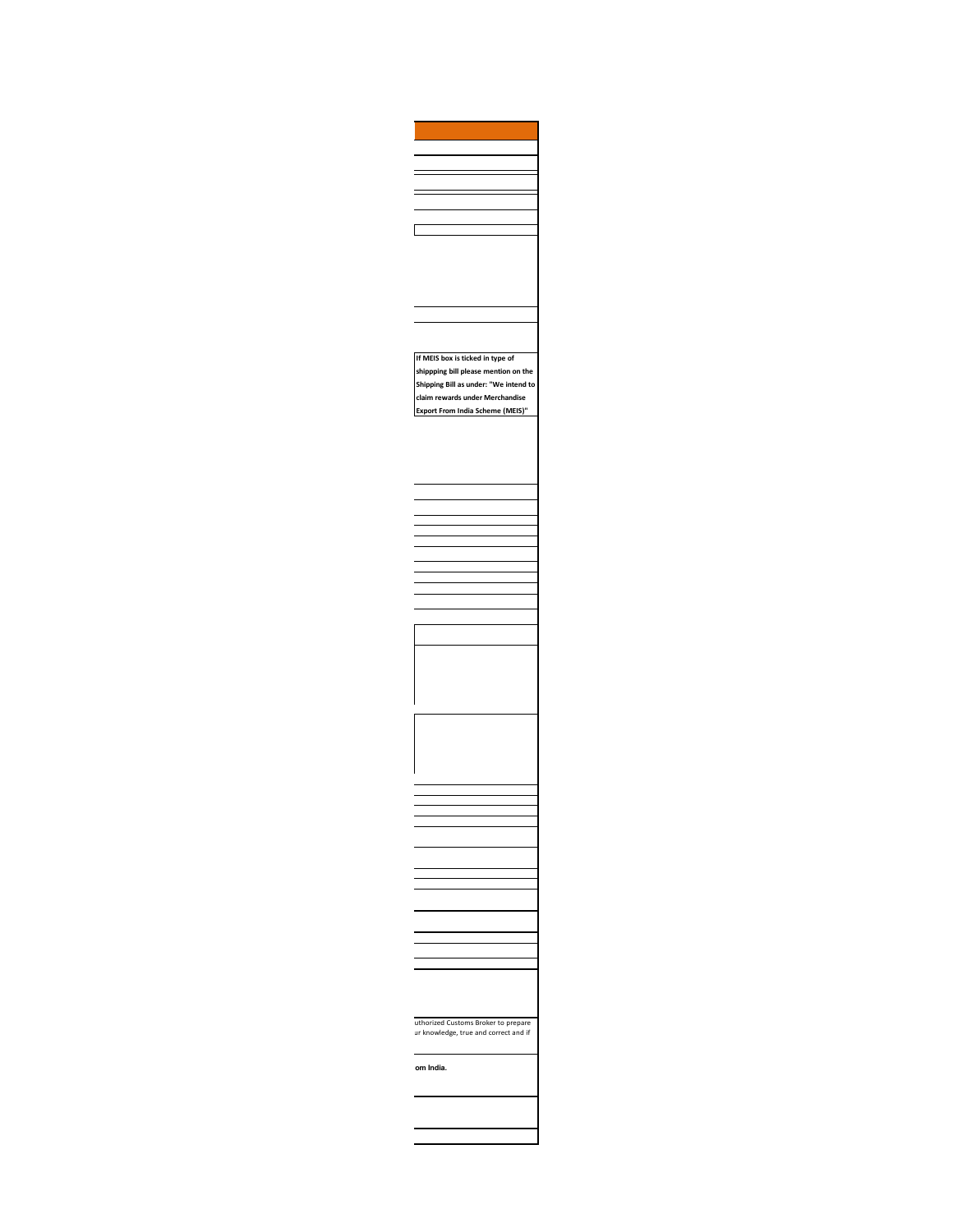